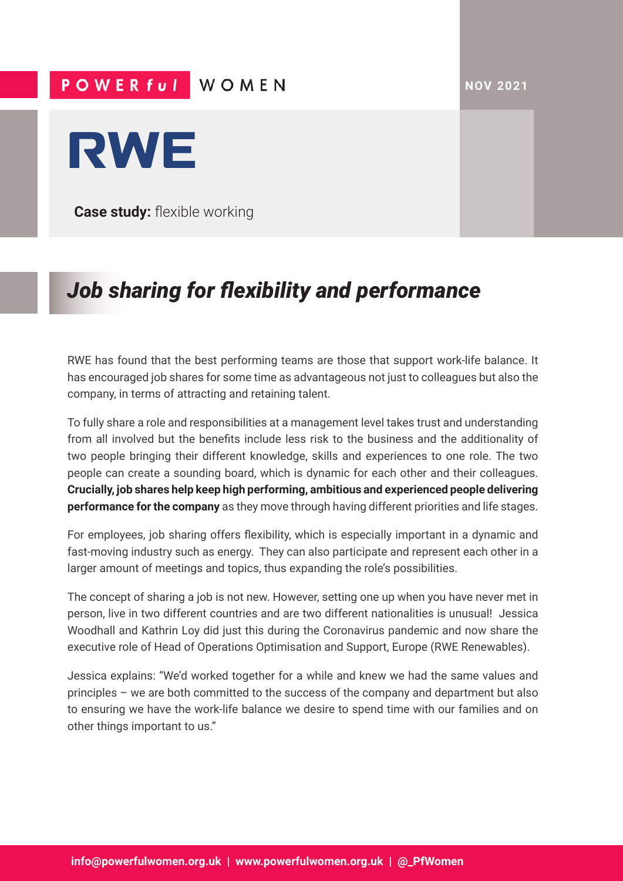**NOV 2021**

## POWER ful WOMEN



**Case study:** flexible working

## *Job sharing for flexibility and performance*

RWE has found that the best performing teams are those that support work-life balance. It has encouraged job shares for some time as advantageous not just to colleagues but also the company, in terms of attracting and retaining talent.

To fully share a role and responsibilities at a management level takes trust and understanding from all involved but the benefits include less risk to the business and the additionality of two people bringing their different knowledge, skills and experiences to one role. The two people can create a sounding board, which is dynamic for each other and their colleagues. **Crucially, job shares help keep high performing, ambitious and experienced people delivering performance for the company** as they move through having different priorities and life stages.

For employees, job sharing offers flexibility, which is especially important in a dynamic and fast-moving industry such as energy. They can also participate and represent each other in a larger amount of meetings and topics, thus expanding the role's possibilities.

The concept of sharing a job is not new. However, setting one up when you have never met in person, live in two different countries and are two different nationalities is unusual! Jessica Woodhall and Kathrin Loy did just this during the Coronavirus pandemic and now share the executive role of Head of Operations Optimisation and Support, Europe (RWE Renewables).

Jessica explains: "We'd worked together for a while and knew we had the same values and principles – we are both committed to the success of the company and department but also to ensuring we have the work-life balance we desire to spend time with our families and on other things important to us."